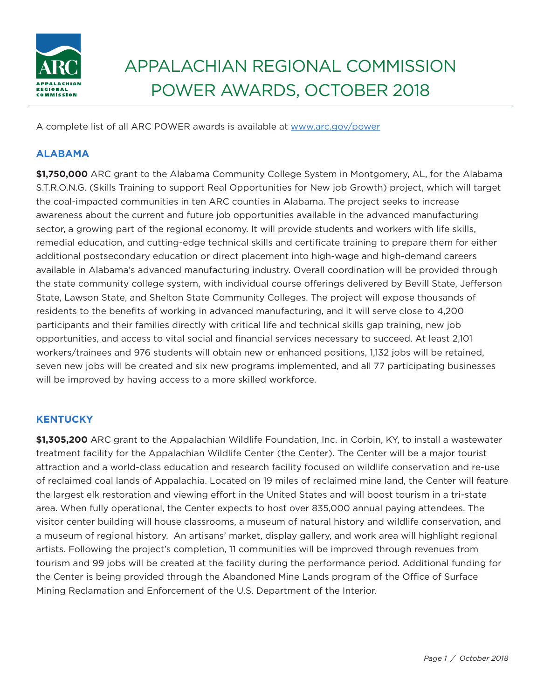

# APPALAChIAN REGIONAL COMMISSION POWER AWARDS, OCTOBER 2018

A complete list of all ARC POWER awards is available at www.arc.gov/power

# **ALABAMA**

**\$1,750,000** ARC grant to the Alabama Community College System in Montgomery, AL, for the Alabama S.T.R.O.N.G. (Skills Training to support Real Opportunities for New job Growth) project, which will target the coal-impacted communities in ten ARC counties in Alabama. The project seeks to increase awareness about the current and future job opportunities available in the advanced manufacturing sector, a growing part of the regional economy. It will provide students and workers with life skills, remedial education, and cutting-edge technical skills and certificate training to prepare them for either additional postsecondary education or direct placement into high-wage and high-demand careers available in Alabama's advanced manufacturing industry. Overall coordination will be provided through the state community college system, with individual course offerings delivered by Bevill State, Jefferson State, Lawson State, and Shelton State Community Colleges. The project will expose thousands of residents to the benefits of working in advanced manufacturing, and it will serve close to 4,200 participants and their families directly with critical life and technical skills gap training, new job opportunities, and access to vital social and financial services necessary to succeed. At least 2,101 workers/trainees and 976 students will obtain new or enhanced positions, 1,132 jobs will be retained, seven new jobs will be created and six new programs implemented, and all 77 participating businesses will be improved by having access to a more skilled workforce.

# **KENTUCKY**

**\$1,305,200** ARC grant to the Appalachian Wildlife Foundation, Inc. in Corbin, KY, to install a wastewater treatment facility for the Appalachian Wildlife Center (the Center). The Center will be a major tourist attraction and a world-class education and research facility focused on wildlife conservation and re-use of reclaimed coal lands of Appalachia. Located on 19 miles of reclaimed mine land, the Center will feature the largest elk restoration and viewing effort in the United States and will boost tourism in a tri-state area. When fully operational, the Center expects to host over 835,000 annual paying attendees. The visitor center building will house classrooms, a museum of natural history and wildlife conservation, and a museum of regional history. An artisans' market, display gallery, and work area will highlight regional artists. Following the project's completion, 11 communities will be improved through revenues from tourism and 99 jobs will be created at the facility during the performance period. Additional funding for the Center is being provided through the Abandoned Mine Lands program of the Office of Surface Mining Reclamation and Enforcement of the U.S. Department of the Interior.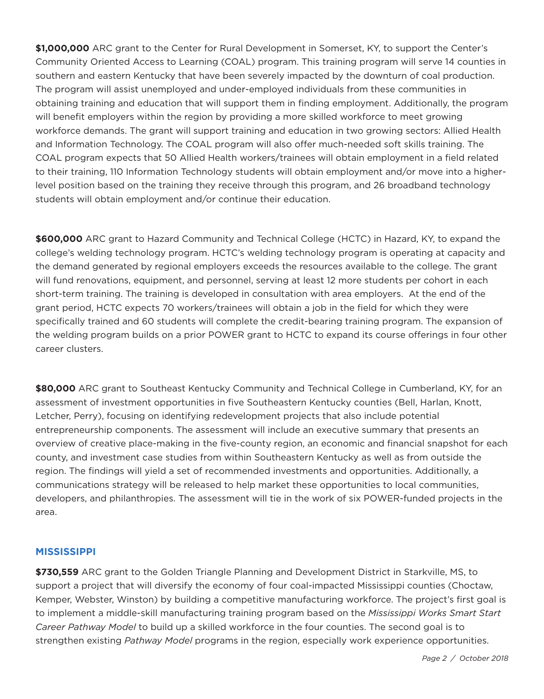**\$1,000,000** ARC grant to the Center for Rural Development in Somerset, KY, to support the Center's Community Oriented Access to Learning (COAL) program. This training program will serve 14 counties in southern and eastern Kentucky that have been severely impacted by the downturn of coal production. The program will assist unemployed and under-employed individuals from these communities in obtaining training and education that will support them in finding employment. Additionally, the program will benefit employers within the region by providing a more skilled workforce to meet growing workforce demands. The grant will support training and education in two growing sectors: Allied health and Information Technology. The COAL program will also offer much-needed soft skills training. The COAL program expects that 50 Allied Health workers/trainees will obtain employment in a field related to their training, 110 Information Technology students will obtain employment and/or move into a higherlevel position based on the training they receive through this program, and 26 broadband technology students will obtain employment and/or continue their education.

**\$600,000** ARC grant to hazard Community and Technical College (hCTC) in hazard, KY, to expand the college's welding technology program. hCTC's welding technology program is operating at capacity and the demand generated by regional employers exceeds the resources available to the college. The grant will fund renovations, equipment, and personnel, serving at least 12 more students per cohort in each short-term training. The training is developed in consultation with area employers. At the end of the grant period, hCTC expects 70 workers/trainees will obtain a job in the field for which they were specifically trained and 60 students will complete the credit-bearing training program. The expansion of the welding program builds on a prior POWER grant to hCTC to expand its course offerings in four other career clusters.

**\$80,000** ARC grant to Southeast Kentucky Community and Technical College in Cumberland, KY, for an assessment of investment opportunities in five Southeastern Kentucky counties (Bell, harlan, Knott, Letcher, Perry), focusing on identifying redevelopment projects that also include potential entrepreneurship components. The assessment will include an executive summary that presents an overview of creative place-making in the five-county region, an economic and financial snapshot for each county, and investment case studies from within Southeastern Kentucky as well as from outside the region. The findings will yield a set of recommended investments and opportunities. Additionally, a communications strategy will be released to help market these opportunities to local communities, developers, and philanthropies. The assessment will tie in the work of six POWER-funded projects in the area.

#### **MISSISSIPPI**

**\$730,559** ARC grant to the Golden Triangle Planning and Development District in Starkville, MS, to support a project that will diversify the economy of four coal-impacted Mississippi counties (Choctaw, Kemper, Webster, Winston) by building a competitive manufacturing workforce. The project's first goal is to implement a middle-skill manufacturing training program based on the *Mississippi Works Smart Start Career Pathway Model* to build up a skilled workforce in the four counties. The second goal is to strengthen existing *Pathway Model* programs in the region, especially work experience opportunities.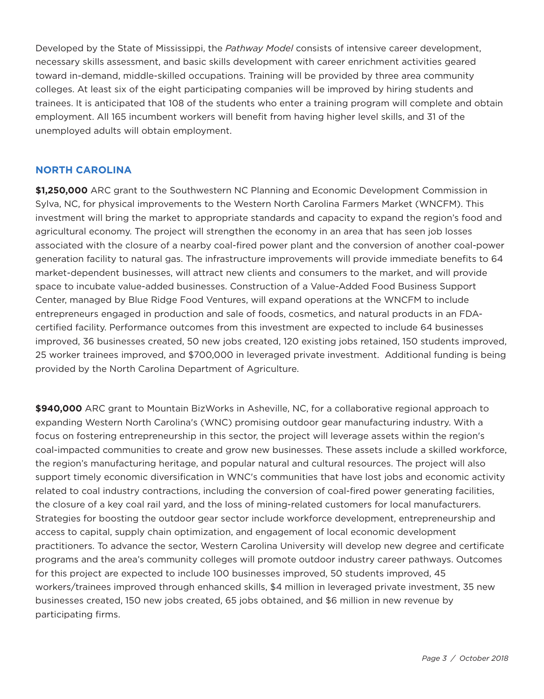Developed by the State of Mississippi, the *Pathway Model* consists of intensive career development, necessary skills assessment, and basic skills development with career enrichment activities geared toward in-demand, middle-skilled occupations. Training will be provided by three area community colleges. At least six of the eight participating companies will be improved by hiring students and trainees. It is anticipated that 108 of the students who enter a training program will complete and obtain employment. All 165 incumbent workers will benefit from having higher level skills, and 31 of the unemployed adults will obtain employment.

#### **NORTH CAROLINA**

**\$1,250,000** ARC grant to the Southwestern NC Planning and Economic Development Commission in Sylva, NC, for physical improvements to the Western North Carolina Farmers Market (WNCFM). This investment will bring the market to appropriate standards and capacity to expand the region's food and agricultural economy. The project will strengthen the economy in an area that has seen job losses associated with the closure of a nearby coal-fired power plant and the conversion of another coal-power generation facility to natural gas. The infrastructure improvements will provide immediate benefits to 64 market-dependent businesses, will attract new clients and consumers to the market, and will provide space to incubate value-added businesses. Construction of a Value-Added Food Business Support Center, managed by Blue Ridge Food Ventures, will expand operations at the WNCFM to include entrepreneurs engaged in production and sale of foods, cosmetics, and natural products in an FDAcertified facility. Performance outcomes from this investment are expected to include 64 businesses improved, 36 businesses created, 50 new jobs created, 120 existing jobs retained, 150 students improved, 25 worker trainees improved, and \$700,000 in leveraged private investment. Additional funding is being provided by the North Carolina Department of Agriculture.

**\$940,000** ARC grant to Mountain BizWorks in Asheville, NC, for a collaborative regional approach to expanding Western North Carolina's (WNC) promising outdoor gear manufacturing industry. With a focus on fostering entrepreneurship in this sector, the project will leverage assets within the region's coal-impacted communities to create and grow new businesses. These assets include a skilled workforce, the region's manufacturing heritage, and popular natural and cultural resources. The project will also support timely economic diversification in WNC's communities that have lost jobs and economic activity related to coal industry contractions, including the conversion of coal-fired power generating facilities, the closure of a key coal rail yard, and the loss of mining-related customers for local manufacturers. Strategies for boosting the outdoor gear sector include workforce development, entrepreneurship and access to capital, supply chain optimization, and engagement of local economic development practitioners. To advance the sector, Western Carolina University will develop new degree and certificate programs and the area's community colleges will promote outdoor industry career pathways. Outcomes for this project are expected to include 100 businesses improved, 50 students improved, 45 workers/trainees improved through enhanced skills, \$4 million in leveraged private investment, 35 new businesses created, 150 new jobs created, 65 jobs obtained, and \$6 million in new revenue by participating firms.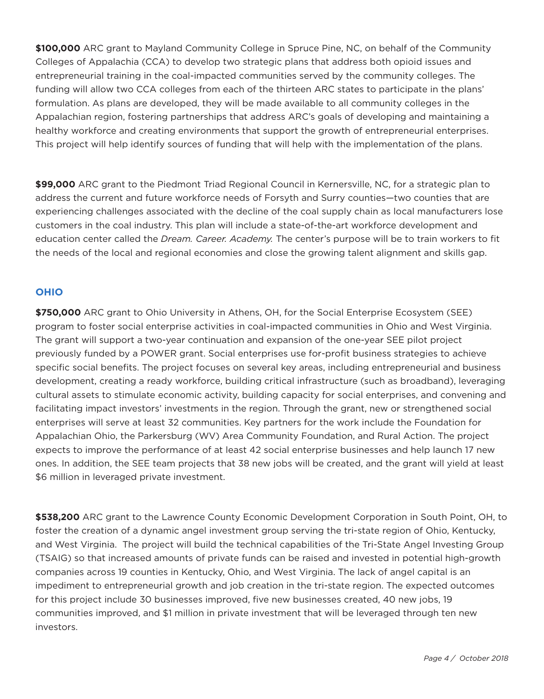**\$100,000** ARC grant to Mayland Community College in Spruce Pine, NC, on behalf of the Community Colleges of Appalachia (CCA) to develop two strategic plans that address both opioid issues and entrepreneurial training in the coal-impacted communities served by the community colleges. The funding will allow two CCA colleges from each of the thirteen ARC states to participate in the plans' formulation. As plans are developed, they will be made available to all community colleges in the Appalachian region, fostering partnerships that address ARC's goals of developing and maintaining a healthy workforce and creating environments that support the growth of entrepreneurial enterprises. This project will help identify sources of funding that will help with the implementation of the plans.

**\$99,000** ARC grant to the Piedmont Triad Regional Council in Kernersville, NC, for a strategic plan to address the current and future workforce needs of Forsyth and Surry counties—two counties that are experiencing challenges associated with the decline of the coal supply chain as local manufacturers lose customers in the coal industry. This plan will include a state-of-the-art workforce development and education center called the *Dream. Career. Academy.* The center's purpose will be to train workers to fit the needs of the local and regional economies and close the growing talent alignment and skills gap.

# **OHIO**

**\$750,000** ARC grant to Ohio University in Athens, Oh, for the Social Enterprise Ecosystem (SEE) program to foster social enterprise activities in coal-impacted communities in Ohio and West Virginia. The grant will support a two-year continuation and expansion of the one-year SEE pilot project previously funded by a POWER grant. Social enterprises use for-profit business strategies to achieve specific social benefits. The project focuses on several key areas, including entrepreneurial and business development, creating a ready workforce, building critical infrastructure (such as broadband), leveraging cultural assets to stimulate economic activity, building capacity for social enterprises, and convening and facilitating impact investors' investments in the region. Through the grant, new or strengthened social enterprises will serve at least 32 communities. Key partners for the work include the Foundation for Appalachian Ohio, the Parkersburg (WV) Area Community Foundation, and Rural Action. The project expects to improve the performance of at least 42 social enterprise businesses and help launch 17 new ones. In addition, the SEE team projects that 38 new jobs will be created, and the grant will yield at least \$6 million in leveraged private investment.

**\$538,200** ARC grant to the Lawrence County Economic Development Corporation in South Point, Oh, to foster the creation of a dynamic angel investment group serving the tri-state region of Ohio, Kentucky, and West Virginia. The project will build the technical capabilities of the Tri-State Angel Investing Group (TSAIG) so that increased amounts of private funds can be raised and invested in potential high-growth companies across 19 counties in Kentucky, Ohio, and West Virginia. The lack of angel capital is an impediment to entrepreneurial growth and job creation in the tri-state region. The expected outcomes for this project include 30 businesses improved, five new businesses created, 40 new jobs, 19 communities improved, and \$1 million in private investment that will be leveraged through ten new investors.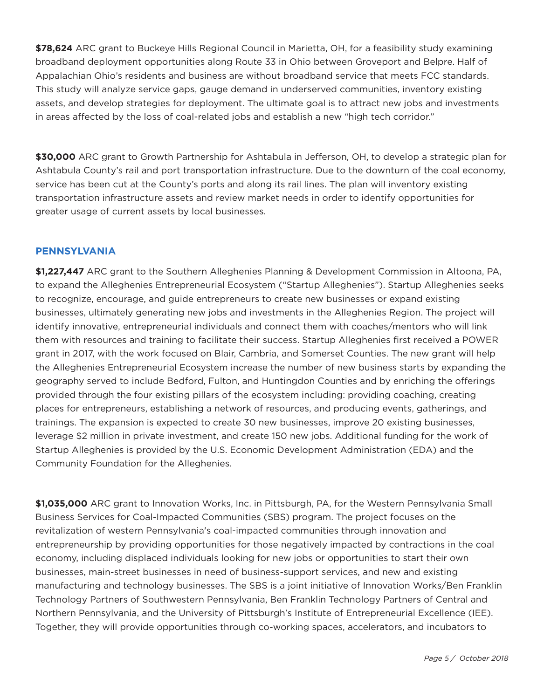**\$78,624** ARC grant to Buckeye hills Regional Council in Marietta, Oh, for a feasibility study examining broadband deployment opportunities along Route 33 in Ohio between Groveport and Belpre. half of Appalachian Ohio's residents and business are without broadband service that meets FCC standards. This study will analyze service gaps, gauge demand in underserved communities, inventory existing assets, and develop strategies for deployment. The ultimate goal is to attract new jobs and investments in areas affected by the loss of coal-related jobs and establish a new "high tech corridor."

**\$30,000** ARC grant to Growth Partnership for Ashtabula in Jefferson, Oh, to develop a strategic plan for Ashtabula County's rail and port transportation infrastructure. Due to the downturn of the coal economy, service has been cut at the County's ports and along its rail lines. The plan will inventory existing transportation infrastructure assets and review market needs in order to identify opportunities for greater usage of current assets by local businesses.

### **PENNSYLVANIA**

**\$1,227,447** ARC grant to the Southern Alleghenies Planning & Development Commission in Altoona, PA, to expand the Alleghenies Entrepreneurial Ecosystem ("Startup Alleghenies"). Startup Alleghenies seeks to recognize, encourage, and guide entrepreneurs to create new businesses or expand existing businesses, ultimately generating new jobs and investments in the Alleghenies Region. The project will identify innovative, entrepreneurial individuals and connect them with coaches/mentors who will link them with resources and training to facilitate their success. Startup Alleghenies first received a POWER grant in 2017, with the work focused on Blair, Cambria, and Somerset Counties. The new grant will help the Alleghenies Entrepreneurial Ecosystem increase the number of new business starts by expanding the geography served to include Bedford, Fulton, and huntingdon Counties and by enriching the offerings provided through the four existing pillars of the ecosystem including: providing coaching, creating places for entrepreneurs, establishing a network of resources, and producing events, gatherings, and trainings. The expansion is expected to create 30 new businesses, improve 20 existing businesses, leverage \$2 million in private investment, and create 150 new jobs. Additional funding for the work of Startup Alleghenies is provided by the U.S. Economic Development Administration (EDA) and the Community Foundation for the Alleghenies.

**\$1,035,000** ARC grant to Innovation Works, Inc. in Pittsburgh, PA, for the Western Pennsylvania Small Business Services for Coal-Impacted Communities (SBS) program. The project focuses on the revitalization of western Pennsylvania's coal-impacted communities through innovation and entrepreneurship by providing opportunities for those negatively impacted by contractions in the coal economy, including displaced individuals looking for new jobs or opportunities to start their own businesses, main-street businesses in need of business-support services, and new and existing manufacturing and technology businesses. The SBS is a joint initiative of Innovation Works/Ben Franklin Technology Partners of Southwestern Pennsylvania, Ben Franklin Technology Partners of Central and Northern Pennsylvania, and the University of Pittsburgh's Institute of Entrepreneurial Excellence (IEE). Together, they will provide opportunities through co-working spaces, accelerators, and incubators to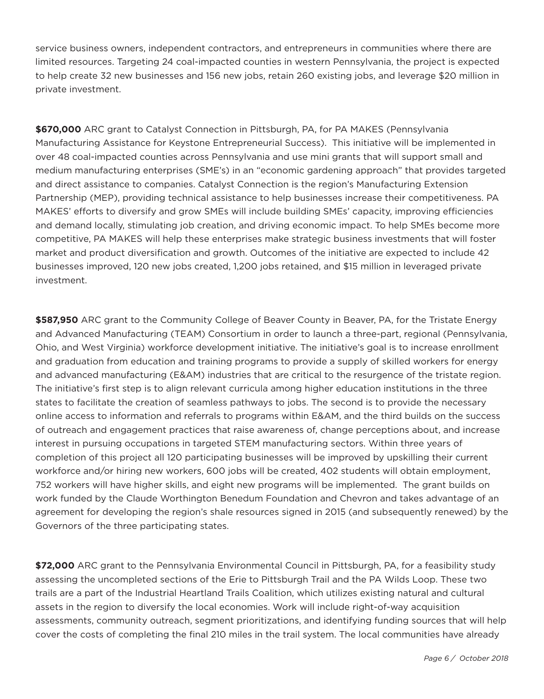service business owners, independent contractors, and entrepreneurs in communities where there are limited resources. Targeting 24 coal-impacted counties in western Pennsylvania, the project is expected to help create 32 new businesses and 156 new jobs, retain 260 existing jobs, and leverage \$20 million in private investment.

**\$670,000** ARC grant to Catalyst Connection in Pittsburgh, PA, for PA MAKES (Pennsylvania Manufacturing Assistance for Keystone Entrepreneurial Success). This initiative will be implemented in over 48 coal-impacted counties across Pennsylvania and use mini grants that will support small and medium manufacturing enterprises (SME's) in an "economic gardening approach" that provides targeted and direct assistance to companies. Catalyst Connection is the region's Manufacturing Extension Partnership (MEP), providing technical assistance to help businesses increase their competitiveness. PA MAKES' efforts to diversify and grow SMEs will include building SMEs' capacity, improving efficiencies and demand locally, stimulating job creation, and driving economic impact. To help SMEs become more competitive, PA MAKES will help these enterprises make strategic business investments that will foster market and product diversification and growth. Outcomes of the initiative are expected to include 42 businesses improved, 120 new jobs created, 1,200 jobs retained, and \$15 million in leveraged private investment.

**\$587,950** ARC grant to the Community College of Beaver County in Beaver, PA, for the Tristate Energy and Advanced Manufacturing (TEAM) Consortium in order to launch a three-part, regional (Pennsylvania, Ohio, and West Virginia) workforce development initiative. The initiative's goal is to increase enrollment and graduation from education and training programs to provide a supply of skilled workers for energy and advanced manufacturing (E&AM) industries that are critical to the resurgence of the tristate region. The initiative's first step is to align relevant curricula among higher education institutions in the three states to facilitate the creation of seamless pathways to jobs. The second is to provide the necessary online access to information and referrals to programs within E&AM, and the third builds on the success of outreach and engagement practices that raise awareness of, change perceptions about, and increase interest in pursuing occupations in targeted STEM manufacturing sectors. Within three years of completion of this project all 120 participating businesses will be improved by upskilling their current workforce and/or hiring new workers, 600 jobs will be created, 402 students will obtain employment, 752 workers will have higher skills, and eight new programs will be implemented. The grant builds on work funded by the Claude Worthington Benedum Foundation and Chevron and takes advantage of an agreement for developing the region's shale resources signed in 2015 (and subsequently renewed) by the Governors of the three participating states.

**\$72,000** ARC grant to the Pennsylvania Environmental Council in Pittsburgh, PA, for a feasibility study assessing the uncompleted sections of the Erie to Pittsburgh Trail and the PA Wilds Loop. These two trails are a part of the Industrial heartland Trails Coalition, which utilizes existing natural and cultural assets in the region to diversify the local economies. Work will include right-of-way acquisition assessments, community outreach, segment prioritizations, and identifying funding sources that will help cover the costs of completing the final 210 miles in the trail system. The local communities have already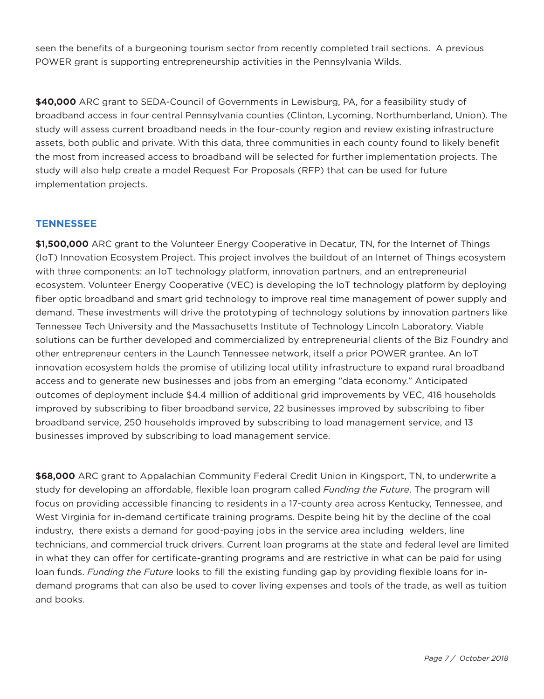seen the benefits of a burgeoning tourism sector from recently completed trail sections. A previous POWER grant is supporting entrepreneurship activities in the Pennsylvania Wilds.

**\$40,000** ARC grant to SEDA-Council of Governments in Lewisburg, PA, for a feasibility study of broadband access in four central Pennsylvania counties (Clinton, Lycoming, Northumberland, Union). The study will assess current broadband needs in the four-county region and review existing infrastructure assets, both public and private. With this data, three communities in each county found to likely benefit the most from increased access to broadband will be selected for further implementation projects. The study will also help create a model Request For Proposals (RFP) that can be used for future implementation projects.

### **TENNESSEE**

**\$1,500,000** ARC grant to the Volunteer Energy Cooperative in Decatur, TN, for the Internet of Things (IoT) Innovation Ecosystem Project. This project involves the buildout of an Internet of Things ecosystem with three components: an IoT technology platform, innovation partners, and an entrepreneurial ecosystem. Volunteer Energy Cooperative (VEC) is developing the IoT technology platform by deploying fiber optic broadband and smart grid technology to improve real time management of power supply and demand. These investments will drive the prototyping of technology solutions by innovation partners like Tennessee Tech University and the Massachusetts Institute of Technology Lincoln Laboratory. Viable solutions can be further developed and commercialized by entrepreneurial clients of the Biz Foundry and other entrepreneur centers in the Launch Tennessee network, itself a prior POWER grantee. An IoT innovation ecosystem holds the promise of utilizing local utility infrastructure to expand rural broadband access and to generate new businesses and jobs from an emerging "data economy." Anticipated outcomes of deployment include \$4.4 million of additional grid improvements by VEC, 416 households improved by subscribing to fiber broadband service, 22 businesses improved by subscribing to fiber broadband service, 250 households improved by subscribing to load management service, and 13 businesses improved by subscribing to load management service.

**\$68,000** ARC grant to Appalachian Community Federal Credit Union in Kingsport, TN, to underwrite a study for developing an affordable, flexible loan program called *Funding the Future*. The program will focus on providing accessible financing to residents in a 17-county area across Kentucky, Tennessee, and West Virginia for in-demand certificate training programs. Despite being hit by the decline of the coal industry, there exists a demand for good-paying jobs in the service area including welders, line technicians, and commercial truck drivers. Current loan programs at the state and federal level are limited in what they can offer for certificate-granting programs and are restrictive in what can be paid for using loan funds. *Funding the Future* looks to fill the existing funding gap by providing flexible loans for indemand programs that can also be used to cover living expenses and tools of the trade, as well as tuition and books.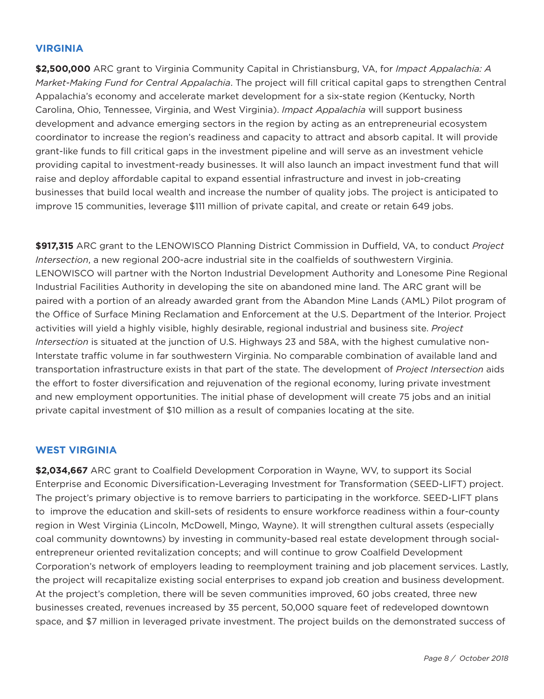### **VIRGINIA**

**\$2,500,000** ARC grant to Virginia Community Capital in Christiansburg, VA, for *Impact Appalachia: A Market-Making Fund for Central Appalachia*. The project will fill critical capital gaps to strengthen Central Appalachia's economy and accelerate market development for a six-state region (Kentucky, North Carolina, Ohio, Tennessee, Virginia, and West Virginia). *Impact Appalachia* will support business development and advance emerging sectors in the region by acting as an entrepreneurial ecosystem coordinator to increase the region's readiness and capacity to attract and absorb capital. It will provide grant-like funds to fill critical gaps in the investment pipeline and will serve as an investment vehicle providing capital to investment-ready businesses. It will also launch an impact investment fund that will raise and deploy affordable capital to expand essential infrastructure and invest in job-creating businesses that build local wealth and increase the number of quality jobs. The project is anticipated to improve 15 communities, leverage \$111 million of private capital, and create or retain 649 jobs.

**\$917,315** ARC grant to the LENOWISCO Planning District Commission in Duffield, VA, to conduct *Project Intersection*, a new regional 200-acre industrial site in the coalfields of southwestern Virginia. LENOWISCO will partner with the Norton Industrial Development Authority and Lonesome Pine Regional Industrial Facilities Authority in developing the site on abandoned mine land. The ARC grant will be paired with a portion of an already awarded grant from the Abandon Mine Lands (AML) Pilot program of the Office of Surface Mining Reclamation and Enforcement at the U.S. Department of the Interior. Project activities will yield a highly visible, highly desirable, regional industrial and business site. *Project Intersection* is situated at the junction of U.S. highways 23 and 58A, with the highest cumulative non-Interstate traffic volume in far southwestern Virginia. No comparable combination of available land and transportation infrastructure exists in that part of the state. The development of *Project Intersection* aids the effort to foster diversification and rejuvenation of the regional economy, luring private investment and new employment opportunities. The initial phase of development will create 75 jobs and an initial private capital investment of \$10 million as a result of companies locating at the site.

#### **WEST VIRGINIA**

**\$2,034,667** ARC grant to Coalfield Development Corporation in Wayne, WV, to support its Social Enterprise and Economic Diversification-Leveraging Investment for Transformation (SEED-LIFT) project. The project's primary objective is to remove barriers to participating in the workforce. SEED-LIFT plans to improve the education and skill-sets of residents to ensure workforce readiness within a four-county region in West Virginia (Lincoln, McDowell, Mingo, Wayne). It will strengthen cultural assets (especially coal community downtowns) by investing in community-based real estate development through socialentrepreneur oriented revitalization concepts; and will continue to grow Coalfield Development Corporation's network of employers leading to reemployment training and job placement services. Lastly, the project will recapitalize existing social enterprises to expand job creation and business development. At the project's completion, there will be seven communities improved, 60 jobs created, three new businesses created, revenues increased by 35 percent, 50,000 square feet of redeveloped downtown space, and \$7 million in leveraged private investment. The project builds on the demonstrated success of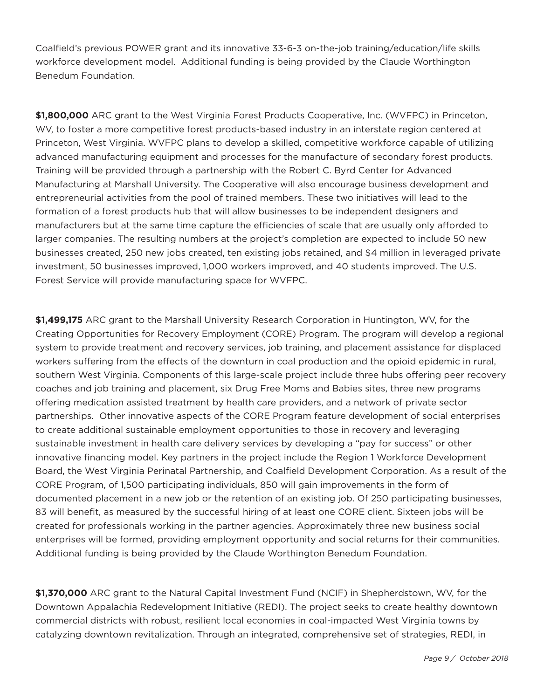Coalfield's previous POWER grant and its innovative 33-6-3 on-the-job training/education/life skills workforce development model. Additional funding is being provided by the Claude Worthington Benedum Foundation.

**\$1,800,000** ARC grant to the West Virginia Forest Products Cooperative, Inc. (WVFPC) in Princeton, WV, to foster a more competitive forest products-based industry in an interstate region centered at Princeton, West Virginia. WVFPC plans to develop a skilled, competitive workforce capable of utilizing advanced manufacturing equipment and processes for the manufacture of secondary forest products. Training will be provided through a partnership with the Robert C. Byrd Center for Advanced Manufacturing at Marshall University. The Cooperative will also encourage business development and entrepreneurial activities from the pool of trained members. These two initiatives will lead to the formation of a forest products hub that will allow businesses to be independent designers and manufacturers but at the same time capture the efficiencies of scale that are usually only afforded to larger companies. The resulting numbers at the project's completion are expected to include 50 new businesses created, 250 new jobs created, ten existing jobs retained, and \$4 million in leveraged private investment, 50 businesses improved, 1,000 workers improved, and 40 students improved. The U.S. Forest Service will provide manufacturing space for WVFPC.

**\$1,499,175** ARC grant to the Marshall University Research Corporation in huntington, WV, for the Creating Opportunities for Recovery Employment (CORE) Program. The program will develop a regional system to provide treatment and recovery services, job training, and placement assistance for displaced workers suffering from the effects of the downturn in coal production and the opioid epidemic in rural, southern West Virginia. Components of this large-scale project include three hubs offering peer recovery coaches and job training and placement, six Drug Free Moms and Babies sites, three new programs offering medication assisted treatment by health care providers, and a network of private sector partnerships. Other innovative aspects of the CORE Program feature development of social enterprises to create additional sustainable employment opportunities to those in recovery and leveraging sustainable investment in health care delivery services by developing a "pay for success" or other innovative financing model. Key partners in the project include the Region 1 Workforce Development Board, the West Virginia Perinatal Partnership, and Coalfield Development Corporation. As a result of the CORE Program, of 1,500 participating individuals, 850 will gain improvements in the form of documented placement in a new job or the retention of an existing job. Of 250 participating businesses, 83 will benefit, as measured by the successful hiring of at least one CORE client. Sixteen jobs will be created for professionals working in the partner agencies. Approximately three new business social enterprises will be formed, providing employment opportunity and social returns for their communities. Additional funding is being provided by the Claude Worthington Benedum Foundation.

**\$1,370,000** ARC grant to the Natural Capital Investment Fund (NCIF) in Shepherdstown, WV, for the Downtown Appalachia Redevelopment Initiative (REDI). The project seeks to create healthy downtown commercial districts with robust, resilient local economies in coal-impacted West Virginia towns by catalyzing downtown revitalization. Through an integrated, comprehensive set of strategies, REDI, in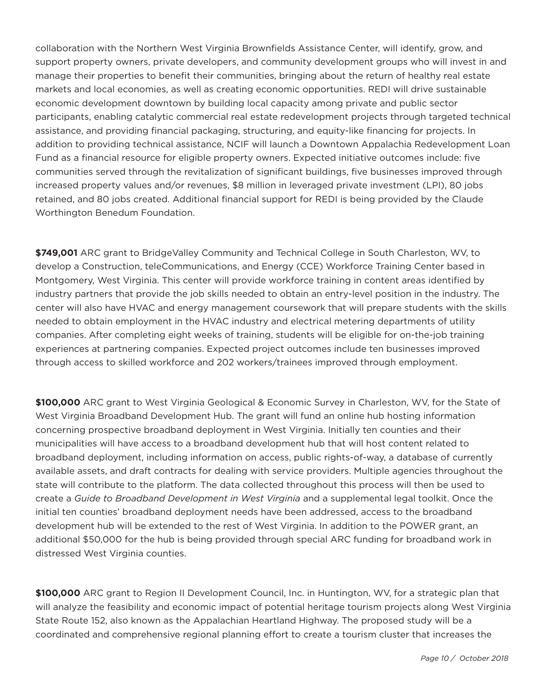collaboration with the Northern West Virginia Brownfields Assistance Center, will identify, grow, and support property owners, private developers, and community development groups who will invest in and manage their properties to benefit their communities, bringing about the return of healthy real estate markets and local economies, as well as creating economic opportunities. REDI will drive sustainable economic development downtown by building local capacity among private and public sector participants, enabling catalytic commercial real estate redevelopment projects through targeted technical assistance, and providing financial packaging, structuring, and equity-like financing for projects. In addition to providing technical assistance, NCIF will launch a Downtown Appalachia Redevelopment Loan Fund as a financial resource for eligible property owners. Expected initiative outcomes include: five communities served through the revitalization of significant buildings, five businesses improved through increased property values and/or revenues, \$8 million in leveraged private investment (LPI), 80 jobs retained, and 80 jobs created. Additional financial support for REDI is being provided by the Claude Worthington Benedum Foundation.

**\$749,001** ARC grant to BridgeValley Community and Technical College in South Charleston, WV, to develop a Construction, teleCommunications, and Energy (CCE) Workforce Training Center based in Montgomery, West Virginia. This center will provide workforce training in content areas identified by industry partners that provide the job skills needed to obtain an entry-level position in the industry. The center will also have hVAC and energy management coursework that will prepare students with the skills needed to obtain employment in the hVAC industry and electrical metering departments of utility companies. After completing eight weeks of training, students will be eligible for on-the-job training experiences at partnering companies. Expected project outcomes include ten businesses improved through access to skilled workforce and 202 workers/trainees improved through employment.

**\$100,000** ARC grant to West Virginia Geological & Economic Survey in Charleston, WV, for the State of West Virginia Broadband Development hub. The grant will fund an online hub hosting information concerning prospective broadband deployment in West Virginia. Initially ten counties and their municipalities will have access to a broadband development hub that will host content related to broadband deployment, including information on access, public rights-of-way, a database of currently available assets, and draft contracts for dealing with service providers. Multiple agencies throughout the state will contribute to the platform. The data collected throughout this process will then be used to create a *Guide to Broadband Development in West Virginia* and a supplemental legal toolkit. Once the initial ten counties' broadband deployment needs have been addressed, access to the broadband development hub will be extended to the rest of West Virginia. In addition to the POWER grant, an additional \$50,000 for the hub is being provided through special ARC funding for broadband work in distressed West Virginia counties.

**\$100,000** ARC grant to Region II Development Council, Inc. in huntington, WV, for a strategic plan that will analyze the feasibility and economic impact of potential heritage tourism projects along West Virginia State Route 152, also known as the Appalachian heartland highway. The proposed study will be a coordinated and comprehensive regional planning effort to create a tourism cluster that increases the